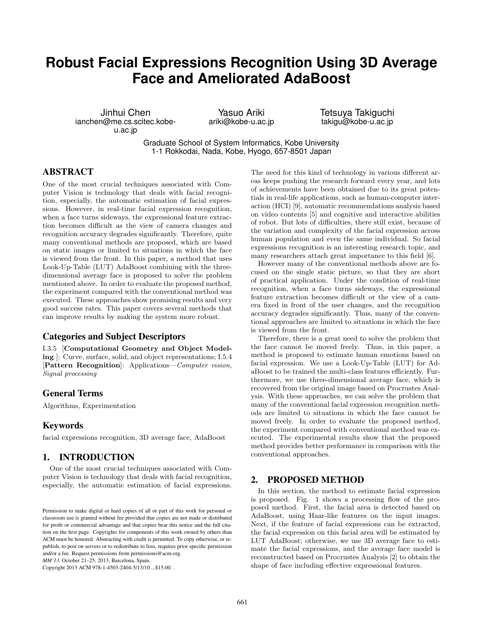# **Robust Facial Expressions Recognition Using 3D Average Face and Ameliorated AdaBoost**

Jinhui Chen ianchen@me.cs.scitec.kobeu.ac.jp

Yasuo Ariki ariki@kobe-u.ac.jp Tetsuya Takiguchi takigu@kobe-u.ac.jp

Graduate School of System Informatics, Kobe University 1-1 Rokkodai, Nada, Kobe, Hyogo, 657-8501 Japan

## ABSTRACT

One of the most crucial techniques associated with Computer Vision is technology that deals with facial recognition, especially, the automatic estimation of facial expressions. However, in real-time facial expression recognition, when a face turns sideways, the expressional feature extraction becomes difficult as the view of camera changes and recognition accuracy degrades significantly. Therefore, quite many conventional methods are proposed, which are based on static images or limited to situations in which the face is viewed from the front. In this paper, a method that uses Look-Up-Table (LUT) AdaBoost combining with the threedimensional average face is proposed to solve the problem mentioned above. In order to evaluate the proposed method, the experiment compared with the conventional method was executed. These approaches show promising results and very good success rates. This paper covers several methods that can improve results by making the system more robust.

## Categories and Subject Descriptors

I.3.5 [Computational Geometry and Object Modeling ]: Curve, surface, solid, and object representations; I.5.4 [Pattern Recognition]: Applications—Computer vision, Signal processing

## General Terms

Algorithms, Experimentation

## Keywords

facial expressions recognition, 3D average face, AdaBoost

## 1. INTRODUCTION

One of the most crucial techniques associated with Computer Vision is technology that deals with facial recognition, especially, the automatic estimation of facial expressions.

Copyright 2013 ACM 978-1-4503-2404-5/13/10 ...\$15.00. .

The need for this kind of technology in various different areas keeps pushing the research forward every year, and lots of achievements have been obtained due to its great potentials in real-life applications, such as human-computer interaction (HCI) [9], automatic recommendations analysis based on video contents [5] and cognitive and interactive abilities of robot. But lots of difficulties, there still exist, because of the variation and complexity of the facial expression across human population and even the same individual. So facial expressions recognition is an interesting research topic, and many researchers attach great importance to this field [6].

However many of the conventional methods above are focused on the single static picture, so that they are short of practical application. Under the condition of real-time recognition, when a face turns sideways, the expressional feature extraction becomes difficult or the view of a camera fixed in front of the user changes, and the recognition accuracy degrades significantly. Thus, many of the conventional approaches are limited to situations in which the face is viewed from the front.

Therefore, there is a great need to solve the problem that the face cannot be moved freely. Thus, in this paper, a method is proposed to estimate human emotions based on facial expression. We use a Look-Up-Table (LUT) for AdaBoost to be trained the multi-class features efficiently. Furthermore, we use three-dimensional average face, which is recovered from the original image based on Procrustes Analysis. With these approaches, we can solve the problem that many of the conventional facial expression recognition methods are limited to situations in which the face cannot be moved freely. In order to evaluate the proposed method, the experiment compared with conventional method was executed. The experimental results show that the proposed method provides better performance in comparison with the conventional approaches.

#### 2. PROPOSED METHOD

In this section, the method to estimate facial expression is proposed. Fig. 1 shows a processing flow of the proposed method. First, the facial area is detected based on AdaBoost, using Haar-like features on the input images. Next, if the feature of facial expressions can be extracted, the facial expression on this facial area will be estimated by LUT AdaBoost; otherwise, we use 3D average face to estimate the facial expressions, and the average face model is reconstructed based on Procrustes Analysis [2] to obtain the shape of face including effective expressional features.

Permission to make digital or hard copies of all or part of this work for personal or classroom use is granted without fee provided that copies are not made or distributed for profit or commercial advantage and that copies bear this notice and the full citation on the first page. Copyrights for components of this work owned by others than ACM must be honored. Abstracting with credit is permitted. To copy otherwise, or republish, to post on servers or to redistribute to lists, requires prior specific permission and/or a fee. Request permissions from permissions@acm.org.

*MM'13,* October 21–25, 2013, Barcelona, Spain.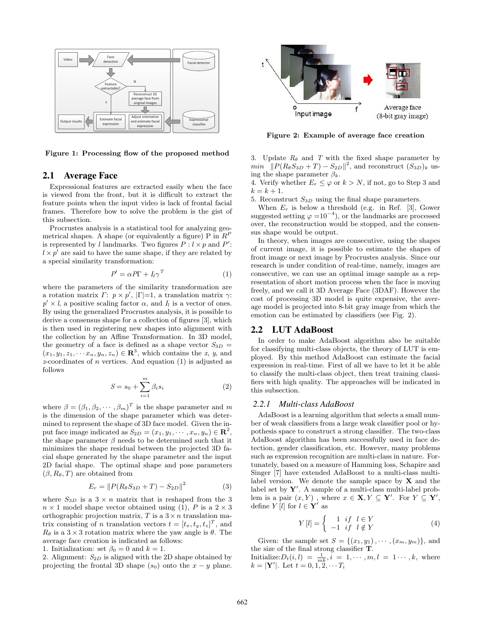

Figure 1: Processing flow of the proposed method

## 2.1 Average Face

Expressional features are extracted easily when the face is viewed from the front, but it is difficult to extract the feature points when the input video is lack of frontal facial frames. Therefore how to solve the problem is the gist of this subsection.

Procrustes analysis is a statistical tool for analyzing geometrical shapes. A shape (or equivalently a figure) P in  $R^P$ is represented by *l* landmarks. Two figures  $P: l \times p$  and  $P'$ :  $l \times p'$  are said to have the same shape, if they are related by a special similarity transformation:

$$
P' = \alpha P \Gamma + I_l \gamma^T \tag{1}
$$

where the parameters of the similarity transformation are a rotation matrix  $\Gamma: p \times p'$ ,  $|\Gamma|=1$ , a translation matrix  $\gamma$ :  $p' \times l$ , a positive scaling factor  $\alpha$ , and  $I_l$  is a vector of ones. By using the generalized Procrustes analysis, it is possible to derive a consensus shape for a collection of figures [3], which is then used in registering new shapes into alignment with the collection by an Affine Transformation. In 3D model, the geometry of a face is defined as a shape vector  $S_{3D}$  =  $(x_1, y_1, z_1, \cdots x_n, y_n, z_n) \in \mathbb{R}^3$ , which contains the x, y, and  $z$ -coordinates of *n* vertices. And equation (1) is adjusted as follows

$$
S = s_0 + \sum_{i=1}^{m} \beta_i s_i \tag{2}
$$

where  $\beta = (\beta_1, \beta_2, \cdots, \beta_m)^T$  is the shape parameter and m is the dimension of the shape parameter which was determined to represent the shape of 3D face model. Given the input face image indicated as  $S_{2D} = (x_1, y_1, \dots, x_n, y_n) \in \mathbb{R}^2$ , the shape parameter  $\beta$  needs to be determined such that it minimizes the shape residual between the projected 3D facial shape generated by the shape parameter and the input 2D facial shape. The optimal shape and pose parameters  $(\beta, R_{\theta}, T)$  are obtained from

$$
E_r = ||P(R_{\theta}S_{3D} + T) - S_{2D}||^2
$$
 (3)

where  $S_{3D}$  is a  $3 \times n$  matrix that is reshaped from the 3  $n \times 1$  model shape vector obtained using (1), P is a  $2 \times 3$ orthographic projection matrix, T is a  $3 \times n$  translation matrix consisting of *n* translation vectors  $t = [t_x, t_y, t_z]^T$ , and  $R_{\theta}$  is a 3 × 3 rotation matrix where the yaw angle is  $\theta$ . The average face creation is indicated as follows:

1. Initialization: set  $\beta_0 = 0$  and  $k = 1$ .

2. Alignment:  $S_{2D}$  is aligned with the 2D shape obtained by projecting the frontal 3D shape  $(s_0)$  onto the  $x - y$  plane.



Figure 2: Example of average face creation

3. Update  $R_{\theta}$  and T with the fixed shape parameter by  $min \left( \|P(R_{\theta}S_{3D} + T) - S_{2D}\|^2 \right)$ , and reconstruct  $(S_{3D})_k$  using the shape parameter  $\beta_k$ .

4. Verify whether  $E_r \leq \varphi$  or  $k > N$ , if not, go to Step 3 and  $k = k + 1.$ 

5. Reconstruct  $S_{3D}$  using the final shape parameters.

When  $E_r$  is below a threshold (e.g. in Ref. [3], Gower suggested setting  $\varphi = 10^{-4}$ , or the landmarks are processed over, the reconstruction would be stopped, and the consensus shape would be output.

In theory, when images are consecutive, using the shapes of current image, it is possible to estimate the shapes of front image or next image by Procrustes analysis. Since our research is under condition of real-time, namely, images are consecutive, we can use an optimal image sample as a representation of short motion process when the face is moving freely, and we call it 3D Average Face (3DAF). However the cost of processing 3D model is quite expensive, the average model is projected into 8-bit gray image from which the emotion can be estimated by classifiers (see Fig. 2).

#### 2.2 LUT AdaBoost

In order to make AdaBoost algorithm also be suitable for classifying multi-class objects, the theory of LUT is employed. By this method AdaBoost can estimate the facial expression in real-time. First of all we have to let it be able to classify the multi-class object, then treat training classifiers with high quality. The approaches will be indicated in this subsection.

#### *2.2.1 Multi-class AdaBoost*

AdaBoost is a learning algorithm that selects a small number of weak classifiers from a large weak classifier pool or hypothesis space to construct a strong classifier. The two-class AdaBoost algorithm has been successfully used in face detection, gender classification, etc. However, many problems such as expression recognition are multi-class in nature. Fortunately, based on a measure of Hamming loss, Schapire and Singer [7] have extended AdaBoost to a multi-class multilabel version. We denote the sample space by  $X$  and the label set by  $Y'$ . A sample of a multi-class multi-label problem is a pair  $(x, Y)$ , where  $x \in \mathbf{X}, Y \subseteq \mathbf{Y}'$ . For  $Y \subseteq \mathbf{Y}'$ , define  $Y[l]$  for  $l \in \mathbf{Y}'$  as

$$
Y[l] = \begin{cases} 1 & \text{if } l \in Y \\ -1 & \text{if } l \notin Y \end{cases}
$$
 (4)

Given: the sample set  $S = \{(x_1, y_1), \cdots, (x_m, y_m)\}\$ , and the size of the final strong classifier T. Initialize:  $D_t(i, l) = \frac{1}{mk}, i = 1, \cdots, m, l = 1 \cdots, k$ , where  $k = |\mathbf{Y}'|$ . Let  $t = 0, 1, 2, \cdots T_i$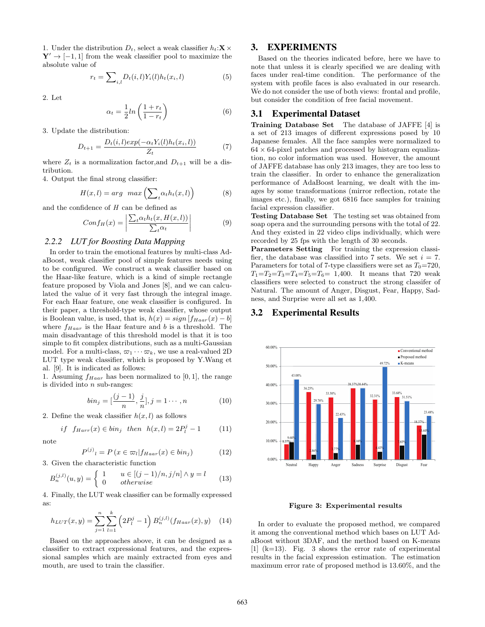1. Under the distribution  $D_t$ , select a weak classifier  $h_t: \mathbf{X} \times \mathbf{X}$  $\mathbf{Y}' \rightarrow [-1, 1]$  from the weak classifier pool to maximize the absolute value of

$$
r_t = \sum_{i,l} D_t(i,l) Y_i(l) h_t(x_i,l)
$$
\n<sup>(5)</sup>

2. Let

$$
\alpha_t = \frac{1}{2} ln\left(\frac{1 + r_t}{1 - r_t}\right) \tag{6}
$$

3. Update the distribution:

$$
D_{t+1} = \frac{D_t(i, l)exp(-\alpha_t Y_i(l)h_t(x_i, l))}{Z_t}
$$
 (7)

where  $Z_t$  is a normalization factor, and  $D_{t+1}$  will be a distribution.

4. Output the final strong classifier:

$$
H(x,l) = arg \ max \left( \sum_{t} \alpha_{t} h_{t}(x,l) \right) \tag{8}
$$

and the confidence of  $H$  can be defined as

$$
Conf_H(x) = \left| \frac{\sum_t \alpha_t h_t(x, H(x, l))}{\sum_t \alpha_t} \right| \tag{9}
$$

## *2.2.2 LUT for Boosting Data Mapping*

In order to train the emotional features by multi-class AdaBoost, weak classifier pool of simple features needs using to be configured. We construct a weak classifier based on the Haar-like feature, which is a kind of simple rectangle feature proposed by Viola and Jones [8], and we can calculated the value of it very fast through the integral image. For each Haar feature, one weak classifier is configured. In their paper, a threshold-type weak classifier, whose output is Boolean value, is used, that is,  $h(x) = sign[f_{Haar}(x) - b]$ where  $f_{Haar}$  is the Haar feature and b is a threshold. The main disadvantage of this threshold model is that it is too simple to fit complex distributions, such as a multi-Gaussian model. For a multi-class,  $\varpi_1 \cdots \varpi_k$ , we use a real-valued 2D LUT type weak classifier, which is proposed by Y.Wang et al. [9]. It is indicated as follows:

1. Assuming  $f_{Haar}$  has been normalized to [0, 1], the range is divided into  $n$  sub-ranges:

$$
bin_j = [\frac{(j-1)}{n}, \frac{j}{n}], j = 1 \cdots, n
$$
 (10)

2. Define the weak classifier  $h(x, l)$  as follows

$$
if \ f_{Harr}(x) \in bin_j \ then \ h(x,l) = 2P_l^j - 1 \tag{11}
$$

note

$$
P^{(j)}_{l} = P(x \in \varpi_{l} | f_{Haar}(x) \in bin_{j})
$$
 (12)

3. Given the characteristic function

$$
B_n^{(j,l)}(u,y) = \begin{cases} 1 & u \in [(j-1)/n, j/n] \wedge y = l \\ 0 & otherwise \end{cases}
$$
(13)

4. Finally, the LUT weak classifier can be formally expressed as:

$$
h_{LUT}(x,y) = \sum_{j=1}^{n} \sum_{l=1}^{k} \left( 2P_l^j - 1 \right) B_n^{(j,l)}(f_{Haar}(x), y) \quad (14)
$$

Based on the approaches above, it can be designed as a classifier to extract expressional features, and the expressional samples which are mainly extracted from eyes and mouth, are used to train the classifier.

## 3. EXPERIMENTS

Based on the theories indicated before, here we have to note that unless it is clearly specified we are dealing with faces under real-time condition. The performance of the system with profile faces is also evaluated in our research. We do not consider the use of both views: frontal and profile, but consider the condition of free facial movement.

#### 3.1 Experimental Dataset

Training Database Set The database of JAFFE [4] is a set of 213 images of different expressions posed by 10 Japanese females. All the face samples were normalized to  $64 \times 64$ -pixel patches and processed by histogram equalization, no color information was used. However, the amount of JAFFE database has only 213 images, they are too less to train the classifier. In order to enhance the generalization performance of AdaBoost learning, we dealt with the images by some transformations (mirror reflection, rotate the images etc.), finally, we got 6816 face samples for training facial expression classifier.

Testing Database Set The testing set was obtained from soap opera and the surrounding persons with the total of 22. And they existed in 22 video clips individually, which were recorded by 25 fps with the length of 30 seconds.

Parameters Setting For training the expression classifier, the database was classified into 7 sets. We set  $i = 7$ . Parameters for total of 7-type classifiers were set as  $T_0=720$ ,  $T_1=T_2=T_3=T_4=T_5=T_6= 1,400$ . It means that 720 weak classifiers were selected to construct the strong classifer of Natural. The amount of Anger, Disgust, Fear, Happy, Sadness, and Surprise were all set as 1,400.

## 3.2 Experimental Results



Figure 3: Experimental results

In order to evaluate the proposed method, we compared it among the conventional method which bases on LUT AdaBoost without 3DAF, and the method based on K-means  $[1]$  (k=13). Fig. 3 shows the error rate of experimental results in the facial expression estimation. The estimation maximum error rate of proposed method is 13.60%, and the